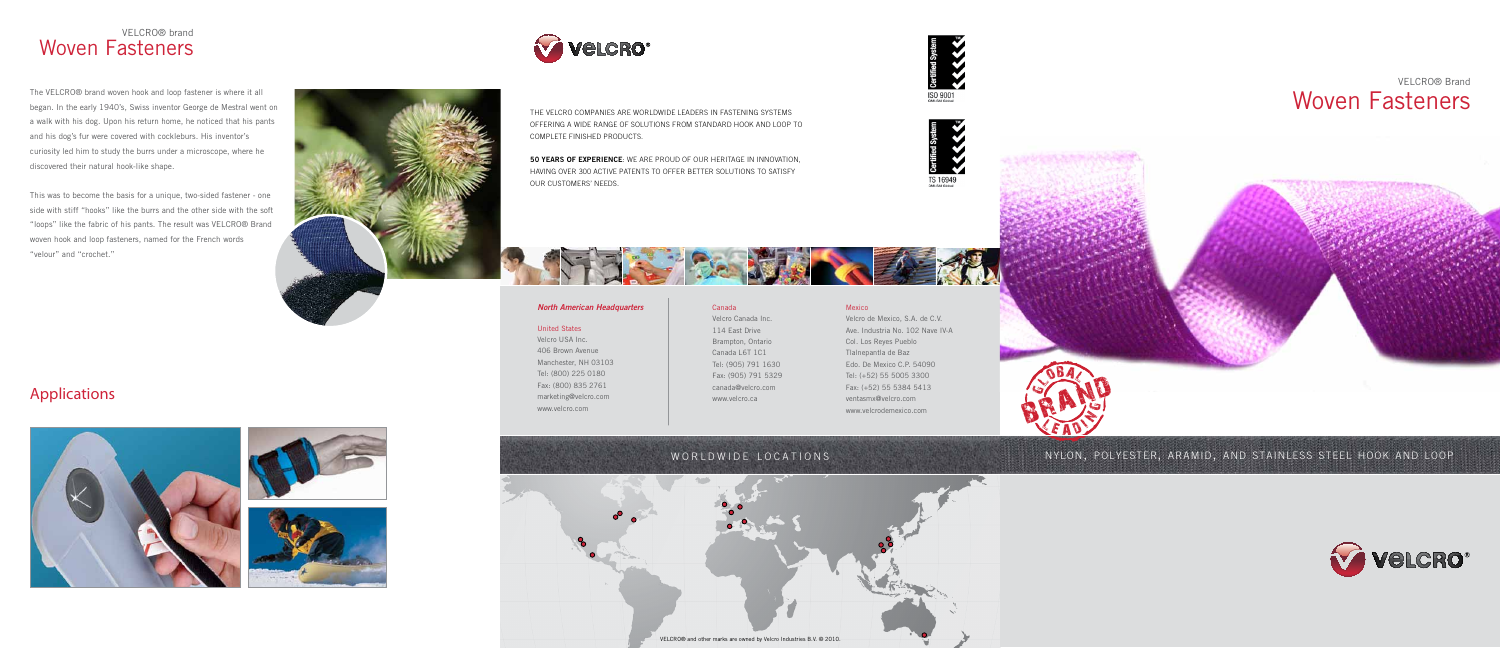the velcro companies are worldwide leaders in fastening systems offering a wide range of solutions from standard hook and loop to complete finished products.

50 years of experience: we are proud of our heritage in innovation, having over 300 active patents to offer better solutions to satisfy our customers' needs.



#### *North American Headquarters*

#### United States

Velcro USA Inc. 406 Brown Avenue Manchester, NH 03103 Tel: (800) 225 0180 Fax: (800) 835 2761 marketing@velcro.com www.velcro.com

### Canada

# <sup>L</sup> <sup>E</sup> <sup>A</sup>N O N G BRAND GBA

Velcro Canada Inc. 114 East Drive Brampton, Ontario Canada L6T 1C1 Tel: (905) 791 1630 Fax: (905) 791 5329 canada@velcro.com www.velcro.ca

### Mexico

Velcro de Mexico, S.A. de C.V. Ave. Industria No. 102 Nave IV-A Col. Los Reyes Pueblo Tlalnepantla de Baz Edo. De Mexico C.P. 54090 Tel: (+52) 55 5005 3300 Fax: (+52) 55 5384 5413 ventasmx@velcro.com www.velcrodemexico.com





ISO 9001<br>QMI-SAI Global





### nylon, polyester, aramid, and stainless steel hook and loop





### VELCRO® brand Woven Fasteners

**Velcro**®

The VELCRO® brand woven hook and loop fastener is where it all began. In the early 1940's, Swiss inventor George de Mestral went on a walk with his dog. Upon his return home, he noticed that his pants and his dog's fur were covered with cockleburs. His inventor's curiosity led him to study the burrs under a microscope, where he discovered their natural hook-like shape.

This was to become the basis for a unique, two-sided fastener - one side with stiff "hooks" like the burrs and the other side with the soft "loops" like the fabric of his pants. The result was VELCRO® Brand woven hook and loop fasteners, named for the French words "velour" and "crochet."



### Applications







# WORLDWIDE LOCATIONS